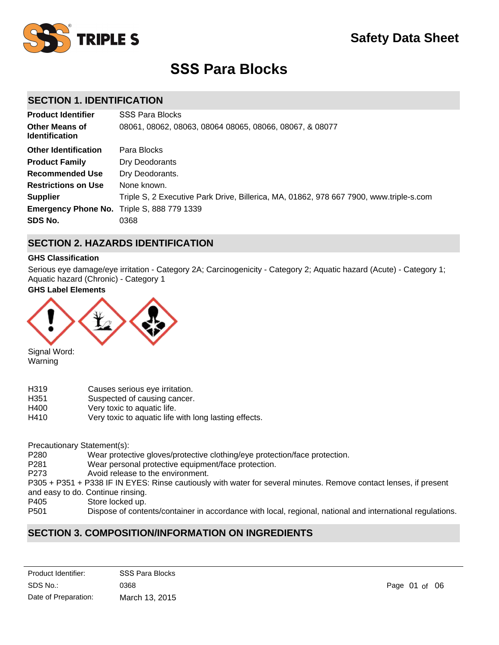

# **SSS Para Blocks**

# **SECTION 1. IDENTIFICATION**

| <b>Product Identifier</b>                         | <b>SSS Para Blocks</b>                                                                 |
|---------------------------------------------------|----------------------------------------------------------------------------------------|
| <b>Other Means of</b><br><b>Identification</b>    | 08061, 08062, 08063, 08064 08065, 08066, 08067, & 08077                                |
| <b>Other Identification</b>                       | Para Blocks                                                                            |
| <b>Product Family</b>                             | Dry Deodorants                                                                         |
| <b>Recommended Use</b>                            | Dry Deodorants.                                                                        |
| <b>Restrictions on Use</b>                        | None known.                                                                            |
| <b>Supplier</b>                                   | Triple S, 2 Executive Park Drive, Billerica, MA, 01862, 978 667 7900, www.triple-s.com |
| <b>Emergency Phone No.</b> Triple S, 888 779 1339 |                                                                                        |
| SDS No.                                           | 0368                                                                                   |

# **SECTION 2. HAZARDS IDENTIFICATION**

#### **GHS Classification**

Serious eye damage/eye irritation - Category 2A; Carcinogenicity - Category 2; Aquatic hazard (Acute) - Category 1; Aquatic hazard (Chronic) - Category 1

# **GHS Label Elements**



Signal Word: Warning

- H319 Causes serious eye irritation.
- H351 Suspected of causing cancer.
- H400 Very toxic to aquatic life.
- H410 Very toxic to aquatic life with long lasting effects.

Precautionary Statement(s):

- P280 Wear protective gloves/protective clothing/eye protection/face protection.
- P281 Wear personal protective equipment/face protection.

P273 Avoid release to the environment.

- P305 + P351 + P338 IF IN EYES: Rinse cautiously with water for several minutes. Remove contact lenses, if present
- and easy to do. Continue rinsing.
- P405 Store locked up.<br>P501 Dispose of conte
- Dispose of contents/container in accordance with local, regional, national and international regulations.

# **SECTION 3. COMPOSITION/INFORMATION ON INGREDIENTS**

| Product Identifier:  | <b>SSS Para Blocks</b> |
|----------------------|------------------------|
| SDS No.:             | 0368                   |
| Date of Preparation: | March 13, 2015         |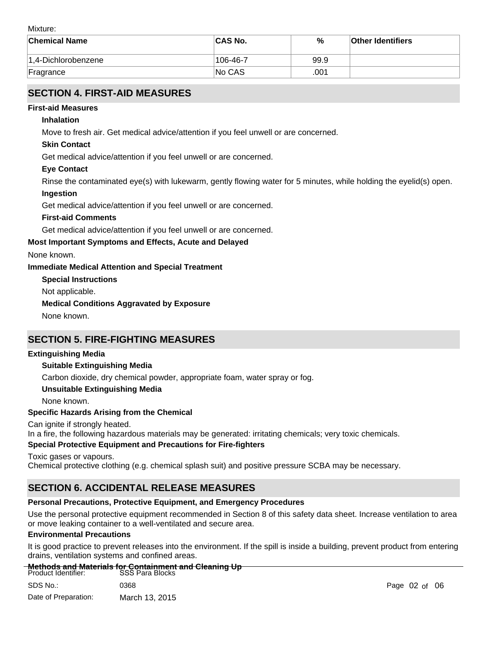Mixture:

| <b>Chemical Name</b>    | <b>CAS No.</b> | %    | <b>Other Identifiers</b> |
|-------------------------|----------------|------|--------------------------|
| $ 1.4$ -Dichlorobenzene | 106-46-7       | 99.9 |                          |
| Fragrance               | <b>No CAS</b>  | .001 |                          |

# **SECTION 4. FIRST-AID MEASURES**

### **First-aid Measures**

#### **Inhalation**

Move to fresh air. Get medical advice/attention if you feel unwell or are concerned.

### **Skin Contact**

Get medical advice/attention if you feel unwell or are concerned.

#### **Eye Contact**

Rinse the contaminated eye(s) with lukewarm, gently flowing water for 5 minutes, while holding the eyelid(s) open.

#### **Ingestion**

Get medical advice/attention if you feel unwell or are concerned.

#### **First-aid Comments**

Get medical advice/attention if you feel unwell or are concerned.

#### **Most Important Symptoms and Effects, Acute and Delayed**

None known.

#### **Immediate Medical Attention and Special Treatment**

**Special Instructions**

Not applicable.

#### **Medical Conditions Aggravated by Exposure**

None known.

# **SECTION 5. FIRE-FIGHTING MEASURES**

#### **Extinguishing Media**

### **Suitable Extinguishing Media**

Carbon dioxide, dry chemical powder, appropriate foam, water spray or fog.

#### **Unsuitable Extinguishing Media**

None known.

#### **Specific Hazards Arising from the Chemical**

Can ignite if strongly heated.

In a fire, the following hazardous materials may be generated: irritating chemicals; very toxic chemicals.

### **Special Protective Equipment and Precautions for Fire-fighters**

Toxic gases or vapours. Chemical protective clothing (e.g. chemical splash suit) and positive pressure SCBA may be necessary.

# **SECTION 6. ACCIDENTAL RELEASE MEASURES**

### **Personal Precautions, Protective Equipment, and Emergency Procedures**

Use the personal protective equipment recommended in Section 8 of this safety data sheet. Increase ventilation to area or move leaking container to a well-ventilated and secure area.

#### **Environmental Precautions**

It is good practice to prevent releases into the environment. If the spill is inside a building, prevent product from entering drains, ventilation systems and confined areas.

#### **Methods and Materials for Containment and Cleaning Up**

| Product Identifier:  | <b>SSS Para Blocks</b> |
|----------------------|------------------------|
| SDS No.:             | 0368                   |
| Date of Preparation: | March 13, 2015         |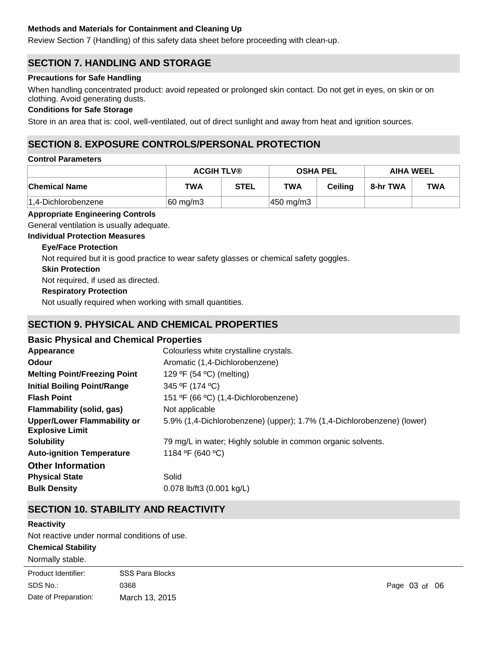### **Methods and Materials for Containment and Cleaning Up**

Review Section 7 (Handling) of this safety data sheet before proceeding with clean-up.

# **SECTION 7. HANDLING AND STORAGE**

#### **Precautions for Safe Handling**

When handling concentrated product: avoid repeated or prolonged skin contact. Do not get in eyes, on skin or on clothing. Avoid generating dusts.

#### **Conditions for Safe Storage**

Store in an area that is: cool, well-ventilated, out of direct sunlight and away from heat and ignition sources.

# **SECTION 8. EXPOSURE CONTROLS/PERSONAL PROTECTION**

#### **Control Parameters**

|                      | <b>ACGIH TLV®</b>    |             | <b>OSHA PEL</b>       |                | <b>AIHA WEEL</b> |            |
|----------------------|----------------------|-------------|-----------------------|----------------|------------------|------------|
| <b>Chemical Name</b> | <b>TWA</b>           | <b>STEL</b> | <b>TWA</b>            | <b>Ceiling</b> | 8-hr TWA         | <b>TWA</b> |
| 1,4-Dichlorobenzene  | $ 60 \text{ mg/m}3 $ |             | $ 450 \text{ mg/m}3 $ |                |                  |            |

### **Appropriate Engineering Controls**

General ventilation is usually adequate.

**Individual Protection Measures**

### **Eye/Face Protection**

Not required but it is good practice to wear safety glasses or chemical safety goggles.

#### **Skin Protection**

Not required, if used as directed.

### **Respiratory Protection**

Not usually required when working with small quantities.

# **SECTION 9. PHYSICAL AND CHEMICAL PROPERTIES**

### **Basic Physical and Chemical Properties**

| Appearance                                                   | Colourless white crystalline crystals.                                 |
|--------------------------------------------------------------|------------------------------------------------------------------------|
| <b>Odour</b>                                                 | Aromatic (1,4-Dichlorobenzene)                                         |
| <b>Melting Point/Freezing Point</b>                          | 129 °F (54 °C) (melting)                                               |
| <b>Initial Boiling Point/Range</b>                           | 345 ºF (174 °C)                                                        |
| <b>Flash Point</b>                                           | 151 ºF (66 °C) (1,4-Dichlorobenzene)                                   |
| <b>Flammability (solid, gas)</b>                             | Not applicable                                                         |
| <b>Upper/Lower Flammability or</b><br><b>Explosive Limit</b> | 5.9% (1,4-Dichlorobenzene) (upper); 1.7% (1,4-Dichlorobenzene) (lower) |
| <b>Solubility</b>                                            | 79 mg/L in water; Highly soluble in common organic solvents.           |
| <b>Auto-ignition Temperature</b>                             | 1184 °F (640 °C)                                                       |
| <b>Other Information</b>                                     |                                                                        |
| <b>Physical State</b>                                        | Solid                                                                  |
| <b>Bulk Density</b>                                          | 0.078 lb/ft3 (0.001 kg/L)                                              |

# **SECTION 10. STABILITY AND REACTIVITY**

#### **Reactivity**

Not reactive under normal conditions of use.

#### **Chemical Stability**

Normally stable.

| Product Identifier:  | <b>SSS Para Blocks</b> |
|----------------------|------------------------|
| SDS No.:             | 0368                   |
| Date of Preparation: | March 13, 2015         |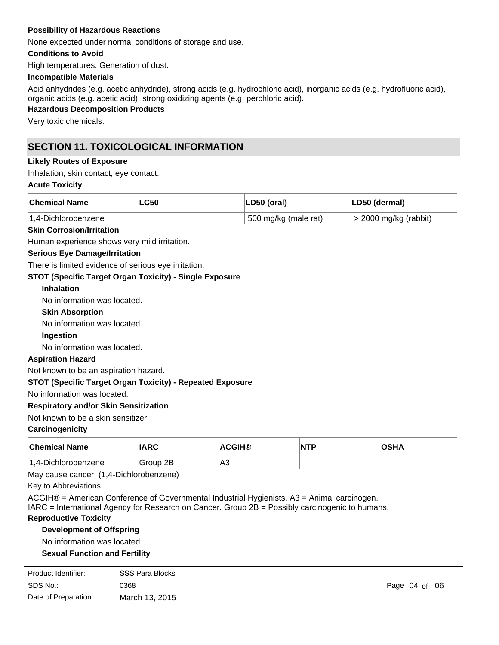#### **Possibility of Hazardous Reactions**

None expected under normal conditions of storage and use.

#### **Conditions to Avoid**

High temperatures. Generation of dust.

#### **Incompatible Materials**

Acid anhydrides (e.g. acetic anhydride), strong acids (e.g. hydrochloric acid), inorganic acids (e.g. hydrofluoric acid), organic acids (e.g. acetic acid), strong oxidizing agents (e.g. perchloric acid).

# **Hazardous Decomposition Products**

Very toxic chemicals.

# **SECTION 11. TOXICOLOGICAL INFORMATION**

#### **Likely Routes of Exposure**

Inhalation; skin contact; eye contact.

#### **Acute Toxicity**

| <b>Chemical Name</b>    | $\mathsf{L}$ C50 | LD50 (oral)          | LD50 (dermal)              |
|-------------------------|------------------|----------------------|----------------------------|
| $ 1.4$ -Dichlorobenzene |                  | 500 mg/kg (male rat) | $\geq$ 2000 mg/kg (rabbit) |

#### **Skin Corrosion/Irritation**

Human experience shows very mild irritation.

#### **Serious Eye Damage/Irritation**

There is limited evidence of serious eye irritation.

#### **STOT (Specific Target Organ Toxicity) - Single Exposure**

#### **Inhalation**

No information was located.

**Skin Absorption**

No information was located.

#### **Ingestion**

No information was located.

#### **Aspiration Hazard**

Not known to be an aspiration hazard.

#### **STOT (Specific Target Organ Toxicity) - Repeated Exposure**

No information was located.

#### **Respiratory and/or Skin Sensitization**

#### Not known to be a skin sensitizer.

**Carcinogenicity**

| <b>Chemical Name</b>    | <b>IARC</b> | <b>ACGIH®</b> | NTP | ∩e⊔∕<br>'יוס |
|-------------------------|-------------|---------------|-----|--------------|
| $ 1.4$ -Dichlorobenzene | Group 2B    | ∣A3           |     |              |

May cause cancer. (1,4-Dichlorobenzene)

Key to Abbreviations

ACGIH® = American Conference of Governmental Industrial Hygienists. A3 = Animal carcinogen.

IARC = International Agency for Research on Cancer. Group 2B = Possibly carcinogenic to humans.

#### **Reproductive Toxicity**

### **Development of Offspring**

No information was located.

# **Sexual Function and Fertility**

| Product Identifier:  | <b>SSS Para Blocks</b> |
|----------------------|------------------------|
| SDS No.:             | 0368                   |
| Date of Preparation: | March 13, 2015         |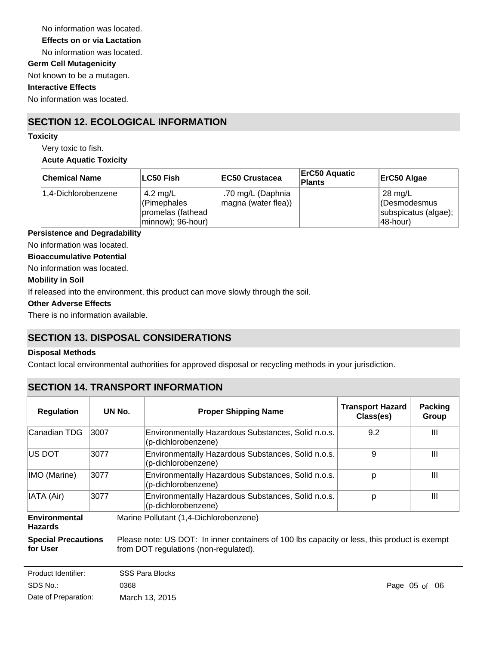No information was located. **Germ Cell Mutagenicity** Not known to be a mutagen. **Effects on or via Lactation** No information was located.

# **Interactive Effects**

No information was located.

# **SECTION 12. ECOLOGICAL INFORMATION**

#### **Toxicity**

Very toxic to fish. **Acute Aquatic Toxicity**

| <b>Chemical Name</b> | ∣LC50 Fish                                                        | <b>EC50 Crustacea</b>                    | <b>ErC50 Aquatic</b><br>Plants | ErC50 Algae                                                            |
|----------------------|-------------------------------------------------------------------|------------------------------------------|--------------------------------|------------------------------------------------------------------------|
| 1.4-Dichlorobenzene  | 4.2 mg/L<br>(Pimephales<br>promelas (fathead<br>minnow); 96-hour) | .70 mg/L (Daphnia<br>magna (water flea)) |                                | $28 \text{ mg/L}$<br>(Desmodesmus<br>subspicatus (algae);<br>148-hour) |

### **Persistence and Degradability**

No information was located.

#### **Bioaccumulative Potential**

No information was located.

#### **Mobility in Soil**

If released into the environment, this product can move slowly through the soil.

#### **Other Adverse Effects**

There is no information available.

# **SECTION 13. DISPOSAL CONSIDERATIONS**

#### **Disposal Methods**

Contact local environmental authorities for approved disposal or recycling methods in your jurisdiction.

# **SECTION 14. TRANSPORT INFORMATION**

| <b>Regulation</b>                      | UN No. | <b>Proper Shipping Name</b>                                                                                                           | <b>Transport Hazard</b><br>Class(es) | <b>Packing</b><br>Group |
|----------------------------------------|--------|---------------------------------------------------------------------------------------------------------------------------------------|--------------------------------------|-------------------------|
| Canadian TDG                           | 3007   | Environmentally Hazardous Substances, Solid n.o.s.<br>(p-dichlorobenzene)                                                             | 9.2                                  | Ш                       |
| <b>US DOT</b>                          | 3077   | Environmentally Hazardous Substances, Solid n.o.s.<br>(p-dichlorobenzene)                                                             | 9                                    | Ш                       |
| IMO (Marine)                           | 3077   | Environmentally Hazardous Substances, Solid n.o.s.<br>(p-dichlorobenzene)                                                             | р                                    | Ш                       |
| IATA (Air)                             | 3077   | Environmentally Hazardous Substances, Solid n.o.s.<br>(p-dichlorobenzene)                                                             | p                                    | Ш                       |
| Environmental<br><b>Hazards</b>        |        | Marine Pollutant (1,4-Dichlorobenzene)                                                                                                |                                      |                         |
| <b>Special Precautions</b><br>for User |        | Please note: US DOT: In inner containers of 100 lbs capacity or less, this product is exempt<br>from DOT regulations (non-regulated). |                                      |                         |